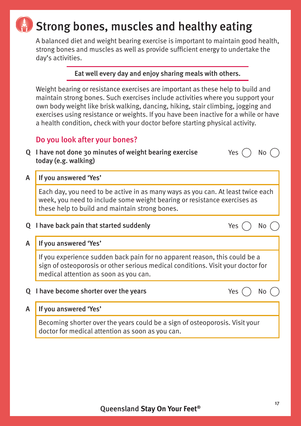# Strong bones, muscles and healthy eating

A balanced diet and weight bearing exercise is important to maintain good health, strong bones and muscles as well as provide sufficient energy to undertake the day's activities.

## Eat well every day and enjoy sharing meals with others.

Weight bearing or resistance exercises are important as these help to build and maintain strong bones. Such exercises include activities where you support your own body weight like brisk walking, dancing, hiking, stair climbing, jogging and exercises using resistance or weights. If you have been inactive for a while or have a health condition, check with your doctor before starting physical activity.

# Do you look after your bones?

| Q I have not done 30 minutes of weight bearing exercise |  |
|---------------------------------------------------------|--|
| today (e.g. walking)                                    |  |

A If you answered 'Yes'

Each day, you need to be active in as many ways as you can. At least twice each week, you need to include some weight bearing or resistance exercises as these help to build and maintain strong bones.

## Q I have back pain that started suddenly  $\angle$  Yes  $\wedge$  No  $\wedge$

## A If you answered 'Yes'

If you experience sudden back pain for no apparent reason, this could be a sign of osteoporosis or other serious medical conditions. Visit your doctor for medical attention as soon as you can.

Q I have become shorter over the years  $\Box$  Yes  $\bigcap$  No  $\Box$ 

Yes  $()$  No  $()$ 

A If you answered 'Yes'

Becoming shorter over the years could be a sign of osteoporosis. Visit your doctor for medical attention as soon as you can.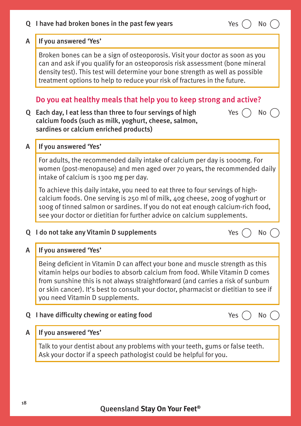### Q I have had broken bones in the past few years  $Yes$   $\cap$  No

# A If you answered 'Yes'

Broken bones can be a sign of osteoporosis. Visit your doctor as soon as you can and ask if you qualify for an osteoporosis risk assessment (bone mineral density test). This test will determine your bone strength as well as possible treatment options to help to reduce your risk of fractures in the future.

# Do you eat healthy meals that help you to keep strong and active?

Q Each day, I eat less than three to four servings of high calcium foods (such as milk, yoghurt, cheese, salmon, sardines or calcium enriched products)

## A If you answered 'Yes'

For adults, the recommended daily intake of calcium per day is 1000mg. For women (post-menopause) and men aged over 70 years, the recommended daily intake of calcium is 1300 mg per day.

To achieve this daily intake, you need to eat three to four servings of highcalcium foods. One serving is 250 ml of milk, 40g cheese, 200g of yoghurt or 100g of tinned salmon or sardines. If you do not eat enough calcium-rich food, see your doctor or dietitian for further advice on calcium supplements.

# Q I do not take any Vitamin D supplements  $\angle$  Yes  $($   $)$  No  $($ A If you answered 'Yes' Being deficient in Vitamin D can affect your bone and muscle strength as this

vitamin helps our bodies to absorb calcium from food. While Vitamin D comes from sunshine this is not always straightforward (and carries a risk of sunburn or skin cancer). It's best to consult your doctor, pharmacist or dietitian to see if you need Vitamin D supplements.

# Q I have difficulty chewing or eating food  $\qquad \qquad$  Yes  $\qquad$  No  $\qquad$

## A If you answered 'Yes'

Talk to your dentist about any problems with your teeth, gums or false teeth. Ask your doctor if a speech pathologist could be helpful for you.



Yes  $()$  No  $()$ 

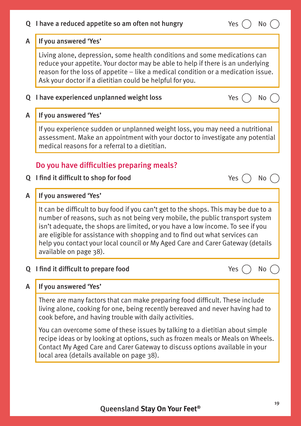| Q            | I have a reduced appetite so am often not hungry<br>Yes<br>No                                                                                                                                                                                                                                                                                                                                                                                     |  |  |  |  |
|--------------|---------------------------------------------------------------------------------------------------------------------------------------------------------------------------------------------------------------------------------------------------------------------------------------------------------------------------------------------------------------------------------------------------------------------------------------------------|--|--|--|--|
| $\mathsf{A}$ | If you answered 'Yes'                                                                                                                                                                                                                                                                                                                                                                                                                             |  |  |  |  |
|              | Living alone, depression, some health conditions and some medications can<br>reduce your appetite. Your doctor may be able to help if there is an underlying<br>reason for the loss of appetite - like a medical condition or a medication issue.<br>Ask your doctor if a dietitian could be helpful for you.                                                                                                                                     |  |  |  |  |
| Q            | I have experienced unplanned weight loss<br>Yes<br>No                                                                                                                                                                                                                                                                                                                                                                                             |  |  |  |  |
| A            | If you answered 'Yes'                                                                                                                                                                                                                                                                                                                                                                                                                             |  |  |  |  |
|              | If you experience sudden or unplanned weight loss, you may need a nutritional<br>assessment. Make an appointment with your doctor to investigate any potential<br>medical reasons for a referral to a dietitian.                                                                                                                                                                                                                                  |  |  |  |  |
|              | Do you have difficulties preparing meals?                                                                                                                                                                                                                                                                                                                                                                                                         |  |  |  |  |
| Q            | I find it difficult to shop for food<br>Yes<br>No.                                                                                                                                                                                                                                                                                                                                                                                                |  |  |  |  |
| A            | If you answered 'Yes'                                                                                                                                                                                                                                                                                                                                                                                                                             |  |  |  |  |
|              | It can be difficult to buy food if you can't get to the shops. This may be due to a<br>number of reasons, such as not being very mobile, the public transport system<br>isn't adequate, the shops are limited, or you have a low income. To see if you<br>are eligible for assistance with shopping and to find out what services can<br>help you contact your local council or My Aged Care and Carer Gateway (details<br>available on page 38). |  |  |  |  |
| Q            | I find it difficult to prepare food<br>Yes<br>No                                                                                                                                                                                                                                                                                                                                                                                                  |  |  |  |  |
| A            | If you answered 'Yes'                                                                                                                                                                                                                                                                                                                                                                                                                             |  |  |  |  |
|              | There are many factors that can make preparing food difficult. These include<br>living alone, cooking for one, being recently bereaved and never having had to<br>cook before, and having trouble with daily activities.                                                                                                                                                                                                                          |  |  |  |  |
|              | You can overcome some of these issues by talking to a dietitian about simple<br>recipe ideas or by looking at options, such as frozen meals or Meals on Wheels.<br>Contact My Aged Care and Carer Gateway to discuss options available in your<br>local area (details available on page 38).                                                                                                                                                      |  |  |  |  |
|              |                                                                                                                                                                                                                                                                                                                                                                                                                                                   |  |  |  |  |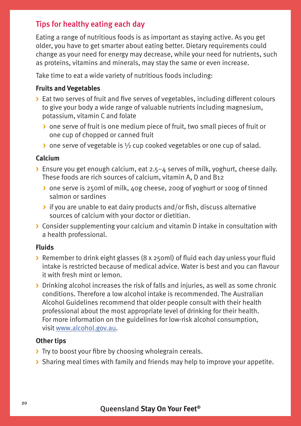# Tips for healthy eating each day

Eating a range of nutritious foods is as important as staying active. As you get older, you have to get smarter about eating better. Dietary requirements could change as your need for energy may decrease, while your need for nutrients, such as proteins, vitamins and minerals, may stay the same or even increase.

Take time to eat a wide variety of nutritious foods including:

### **Fruits and Vegetables**

- **>** Eat two serves of fruit and five serves of vegetables, including different colours to give your body a wide range of valuable nutrients including magnesium, potassium, vitamin C and folate
	- **>** one serve of fruit is one medium piece of fruit, two small pieces of fruit or one cup of chopped or canned fruit
	- **>** one serve of vegetable is ½ cup cooked vegetables or one cup of salad.

### **Calcium**

- **>** Ensure you get enough calcium, eat 2.5–4 serves of milk, yoghurt, cheese daily. These foods are rich sources of calcium, vitamin A, D and B12
	- **>** one serve is 250ml of milk, 40g cheese, 200g of yoghurt or 100g of tinned salmon or sardines
	- **>** if you are unable to eat dairy products and/or fish, discuss alternative sources of calcium with your doctor or dietitian.
- **>** Consider supplementing your calcium and vitamin D intake in consultation with a health professional.

### **Fluids**

- **>** Remember to drink eight glasses (8 x 250ml) of fluid each day unless your fluid intake is restricted because of medical advice. Water is best and you can flavour it with fresh mint or lemon.
- **>** Drinking alcohol increases the risk of falls and injuries, as well as some chronic conditions. Therefore a low alcohol intake is recommended. The Australian Alcohol Guidelines recommend that older people consult with their health professional about the most appropriate level of drinking for their health. For more information on the guidelines for low-risk alcohol consumption, visit [www.alcohol.gov.au](http://www.alcohol.gov.au).

### **Other tips**

- **>** Try to boost your fibre by choosing wholegrain cereals.
- **>** Sharing meal times with family and friends may help to improve your appetite.